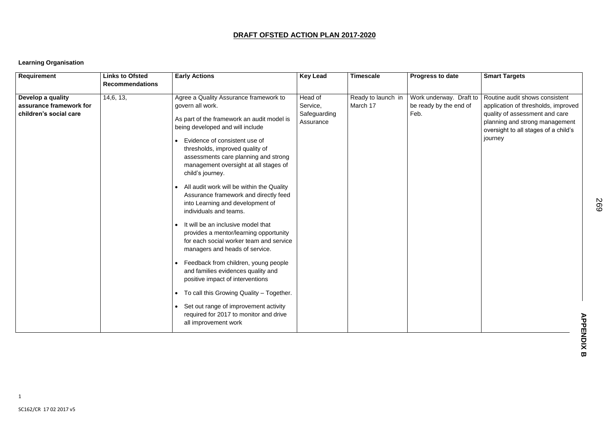## **DRAFT OFSTED ACTION PLAN 2017-2020**

## **Learning Organisation**

| <b>Requirement</b>                                                     | <b>Links to Ofsted</b><br><b>Recommendations</b> | <b>Early Actions</b>                                                                                                                                                                                                                                                                                                                                                                                                                                                                                                                                                                                                                                                                                                                                                                                                                                                                                                             | <b>Key Lead</b>                                  | <b>Timescale</b>               | <b>Progress to date</b>                                   | <b>Smart Targets</b>                                                                                                                                                                                              |
|------------------------------------------------------------------------|--------------------------------------------------|----------------------------------------------------------------------------------------------------------------------------------------------------------------------------------------------------------------------------------------------------------------------------------------------------------------------------------------------------------------------------------------------------------------------------------------------------------------------------------------------------------------------------------------------------------------------------------------------------------------------------------------------------------------------------------------------------------------------------------------------------------------------------------------------------------------------------------------------------------------------------------------------------------------------------------|--------------------------------------------------|--------------------------------|-----------------------------------------------------------|-------------------------------------------------------------------------------------------------------------------------------------------------------------------------------------------------------------------|
| Develop a quality<br>assurance framework for<br>children's social care | 14,6, 13,                                        | Agree a Quality Assurance framework to<br>govern all work.<br>As part of the framework an audit model is<br>being developed and will include<br>Evidence of consistent use of<br>thresholds, improved quality of<br>assessments care planning and strong<br>management oversight at all stages of<br>child's journey.<br>All audit work will be within the Quality<br>$\bullet$<br>Assurance framework and directly feed<br>into Learning and development of<br>individuals and teams.<br>It will be an inclusive model that<br>provides a mentor/learning opportunity<br>for each social worker team and service<br>managers and heads of service.<br>Feedback from children, young people<br>and families evidences quality and<br>positive impact of interventions<br>• To call this Growing Quality - Together.<br>• Set out range of improvement activity<br>required for 2017 to monitor and drive<br>all improvement work | Head of<br>Service,<br>Safeguarding<br>Assurance | Ready to launch in<br>March 17 | Work underway. Draft to<br>be ready by the end of<br>Feb. | Routine audit shows consistent<br>application of thresholds, improved<br>quality of assessment and care<br>planning and strong management<br>oversight to all stages of a child's<br>journey<br><b>APPENDIX B</b> |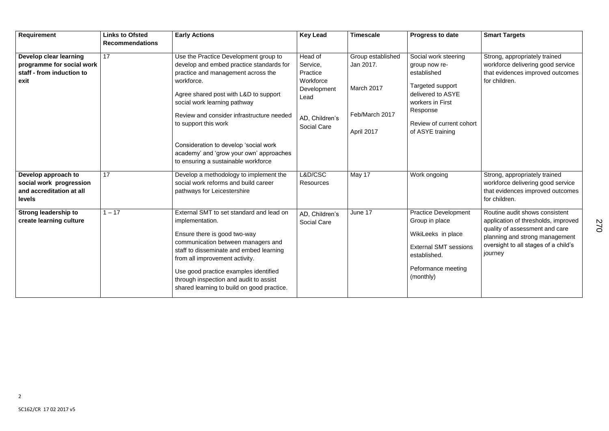| <b>Requirement</b>            | <b>Links to Ofsted</b><br><b>Recommendations</b> | <b>Early Actions</b>                                                                                                    | <b>Key Lead</b>    | <b>Timescale</b>  | <b>Progress to date</b>      | <b>Smart Targets</b>                                             |
|-------------------------------|--------------------------------------------------|-------------------------------------------------------------------------------------------------------------------------|--------------------|-------------------|------------------------------|------------------------------------------------------------------|
|                               | 17                                               |                                                                                                                         | Head of            |                   |                              |                                                                  |
| <b>Develop clear learning</b> |                                                  | Use the Practice Development group to                                                                                   |                    | Group established | Social work steering         | Strong, appropriately trained                                    |
| programme for social work     |                                                  | develop and embed practice standards for                                                                                | Service,           | Jan 2017.         | group now re-                | workforce delivering good service                                |
| staff - from induction to     |                                                  | practice and management across the                                                                                      | Practice           |                   | established                  | that evidences improved outcomes                                 |
| exit                          | workforce.                                       | Workforce                                                                                                               |                    | Targeted support  | for children.                |                                                                  |
|                               |                                                  | Agree shared post with L&D to support                                                                                   | Development        | March 2017        | delivered to ASYE            |                                                                  |
|                               |                                                  | social work learning pathway                                                                                            | Lead               |                   | workers in First             |                                                                  |
|                               |                                                  |                                                                                                                         |                    |                   | Response                     |                                                                  |
|                               |                                                  | Review and consider infrastructure needed                                                                               | AD, Children's     | Feb/March 2017    |                              |                                                                  |
|                               |                                                  | to support this work                                                                                                    | <b>Social Care</b> |                   | Review of current cohort     |                                                                  |
|                               |                                                  |                                                                                                                         |                    | April 2017        | of ASYE training             |                                                                  |
|                               |                                                  | Consideration to develop 'social work<br>academy' and 'grow your own' approaches<br>to ensuring a sustainable workforce |                    |                   |                              |                                                                  |
| Develop approach to           | 17                                               | Develop a methodology to implement the                                                                                  | L&D/CSC            | May 17            | Work ongoing                 | Strong, appropriately trained                                    |
| social work progression       |                                                  | social work reforms and build career                                                                                    | Resources          |                   |                              | workforce delivering good service                                |
| and accreditation at all      |                                                  | pathways for Leicestershire                                                                                             |                    |                   |                              | that evidences improved outcomes                                 |
| levels                        |                                                  |                                                                                                                         |                    |                   |                              | for children.                                                    |
| <b>Strong leadership to</b>   | $1 - 17$                                         | External SMT to set standard and lead on                                                                                | AD, Children's     | June 17           | <b>Practice Development</b>  | Routine audit shows consistent                                   |
| create learning culture       |                                                  | implementation.                                                                                                         | <b>Social Care</b> |                   | Group in place               | application of thresholds, improved                              |
|                               |                                                  | Ensure there is good two-way                                                                                            |                    |                   | WikiLeeks in place           | quality of assessment and care<br>planning and strong management |
|                               |                                                  | communication between managers and                                                                                      |                    |                   |                              | oversight to all stages of a child's                             |
|                               |                                                  | staff to disseminate and embed learning                                                                                 |                    |                   | <b>External SMT sessions</b> | journey                                                          |
|                               |                                                  | from all improvement activity.                                                                                          |                    |                   | established.                 |                                                                  |
|                               |                                                  |                                                                                                                         |                    |                   | Peformance meeting           |                                                                  |
|                               |                                                  | Use good practice examples identified                                                                                   |                    |                   | (monthly)                    |                                                                  |
|                               |                                                  | through inspection and audit to assist                                                                                  |                    |                   |                              |                                                                  |
|                               |                                                  | shared learning to build on good practice.                                                                              |                    |                   |                              |                                                                  |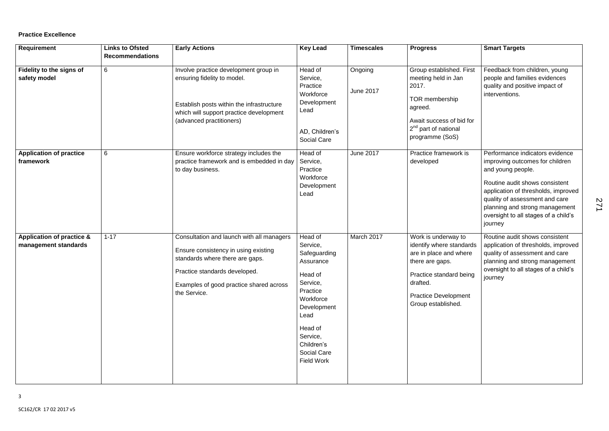#### **Practice Excellence**

| <b>Requirement</b>                                           | <b>Links to Ofsted</b> | <b>Early Actions</b>                                                                                                                                                                                             | <b>Key Lead</b>                                                                                                                                                                                         | <b>Timescales</b>           | <b>Progress</b>                                                                                                                                                                          | <b>Smart Targets</b>                                                                                                                                                                                                                                                                    |
|--------------------------------------------------------------|------------------------|------------------------------------------------------------------------------------------------------------------------------------------------------------------------------------------------------------------|---------------------------------------------------------------------------------------------------------------------------------------------------------------------------------------------------------|-----------------------------|------------------------------------------------------------------------------------------------------------------------------------------------------------------------------------------|-----------------------------------------------------------------------------------------------------------------------------------------------------------------------------------------------------------------------------------------------------------------------------------------|
|                                                              | <b>Recommendations</b> |                                                                                                                                                                                                                  |                                                                                                                                                                                                         |                             |                                                                                                                                                                                          |                                                                                                                                                                                                                                                                                         |
| Fidelity to the signs of<br>safety model                     | 6                      | Involve practice development group in<br>ensuring fidelity to model.<br>Establish posts within the infrastructure<br>which will support practice development<br>(advanced practitioners)                         | Head of<br>Service,<br>Practice<br>Workforce<br>Development<br>Lead<br>AD, Children's<br><b>Social Care</b>                                                                                             | Ongoing<br><b>June 2017</b> | Group established. First<br>meeting held in Jan<br>2017.<br><b>TOR</b> membership<br>agreed.<br>Await success of bid for<br>2 <sup>nd</sup> part of national<br>programme (SoS)          | Feedback from children, young<br>people and families evidences<br>quality and positive impact of<br>interventions.                                                                                                                                                                      |
| <b>Application of practice</b><br>framework                  | $6\phantom{1}$         | Ensure workforce strategy includes the<br>practice framework and is embedded in day<br>to day business.                                                                                                          | Head of<br>Service,<br>Practice<br>Workforce<br>Development<br>Lead                                                                                                                                     | <b>June 2017</b>            | Practice framework is<br>developed                                                                                                                                                       | Performance indicators evidence<br>improving outcomes for children<br>and young people.<br>Routine audit shows consistent<br>application of thresholds, improved<br>quality of assessment and care<br>planning and strong management<br>oversight to all stages of a child's<br>journey |
| <b>Application of practice &amp;</b><br>management standards | $1 - 17$               | Consultation and launch with all managers<br>Ensure consistency in using existing<br>standards where there are gaps.<br>Practice standards developed.<br>Examples of good practice shared across<br>the Service. | Head of<br>Service,<br>Safeguarding<br>Assurance<br>Head of<br>Service,<br>Practice<br>Workforce<br>Development<br>Lead<br>Head of<br>Service,<br>Children's<br><b>Social Care</b><br><b>Field Work</b> | March 2017                  | Work is underway to<br>identify where standards<br>are in place and where<br>there are gaps.<br>Practice standard being<br>drafted.<br><b>Practice Development</b><br>Group established. | Routine audit shows consistent<br>application of thresholds, improved<br>quality of assessment and care<br>planning and strong management<br>oversight to all stages of a child's<br>journey                                                                                            |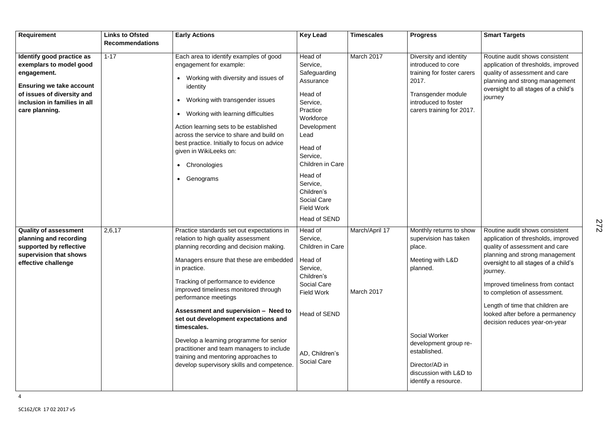| Requirement                                                                                                                                                                            | <b>Links to Ofsted</b> | <b>Early Actions</b>                                                                                                                                                                                                                                                                                                                                                                                                                                                                                                                                                         | <b>Key Lead</b>                                                                                                                                                                                                                                                    | <b>Timescales</b>            | <b>Progress</b>                                                                                                                                                                                                                 | <b>Smart Targets</b>                                                                                                                                                                                                                                                                                                                                                       |
|----------------------------------------------------------------------------------------------------------------------------------------------------------------------------------------|------------------------|------------------------------------------------------------------------------------------------------------------------------------------------------------------------------------------------------------------------------------------------------------------------------------------------------------------------------------------------------------------------------------------------------------------------------------------------------------------------------------------------------------------------------------------------------------------------------|--------------------------------------------------------------------------------------------------------------------------------------------------------------------------------------------------------------------------------------------------------------------|------------------------------|---------------------------------------------------------------------------------------------------------------------------------------------------------------------------------------------------------------------------------|----------------------------------------------------------------------------------------------------------------------------------------------------------------------------------------------------------------------------------------------------------------------------------------------------------------------------------------------------------------------------|
|                                                                                                                                                                                        | <b>Recommendations</b> |                                                                                                                                                                                                                                                                                                                                                                                                                                                                                                                                                                              |                                                                                                                                                                                                                                                                    |                              |                                                                                                                                                                                                                                 |                                                                                                                                                                                                                                                                                                                                                                            |
| Identify good practice as<br>exemplars to model good<br>engagement.<br><b>Ensuring we take account</b><br>of issues of diversity and<br>inclusion in families in all<br>care planning. | $1 - 17$               | Each area to identify examples of good<br>engagement for example:<br>Working with diversity and issues of<br>identity<br>Working with transgender issues<br>$\bullet$<br>Working with learning difficulties<br>$\bullet$<br>Action learning sets to be established<br>across the service to share and build on<br>best practice. Initially to focus on advice<br>given in WikiLeeks on:<br>Chronologies<br>$\bullet$<br>Genograms<br>$\bullet$                                                                                                                               | Head of<br>Service,<br>Safeguarding<br>Assurance<br>Head of<br>Service,<br>Practice<br>Workforce<br>Development<br>Lead<br>Head of<br>Service,<br>Children in Care<br>Head of<br>Service,<br>Children's<br><b>Social Care</b><br><b>Field Work</b><br>Head of SEND | March 2017                   | Diversity and identity<br>introduced to core<br>training for foster carers<br>2017.<br>Transgender module<br>introduced to foster<br>carers training for 2017.                                                                  | Routine audit shows consistent<br>application of thresholds, improved<br>quality of assessment and care<br>planning and strong management<br>oversight to all stages of a child's<br>journey                                                                                                                                                                               |
| <b>Quality of assessment</b><br>planning and recording<br>supported by reflective<br>supervision that shows<br>effective challenge                                                     | 2,6,17                 | Practice standards set out expectations in<br>relation to high quality assessment<br>planning recording and decision making.<br>Managers ensure that these are embedded<br>in practice.<br>Tracking of performance to evidence<br>improved timeliness monitored through<br>performance meetings<br>Assessment and supervision - Need to<br>set out development expectations and<br>timescales.<br>Develop a learning programme for senior<br>practitioner and team managers to include<br>training and mentoring approaches to<br>develop supervisory skills and competence. | Head of<br>Service,<br>Children in Care<br>Head of<br>Service,<br>Children's<br><b>Social Care</b><br><b>Field Work</b><br><b>Head of SEND</b><br>AD, Children's<br><b>Social Care</b>                                                                             | March/April 17<br>March 2017 | Monthly returns to show<br>supervision has taken<br>place.<br>Meeting with L&D<br>planned.<br><b>Social Worker</b><br>development group re-<br>established.<br>Director/AD in<br>discussion with L&D to<br>identify a resource. | Routine audit shows consistent<br>application of thresholds, improved<br>quality of assessment and care<br>planning and strong management<br>oversight to all stages of a child's<br>journey.<br>Improved timeliness from contact<br>to completion of assessment.<br>Length of time that children are<br>looked after before a permanency<br>decision reduces year-on-year |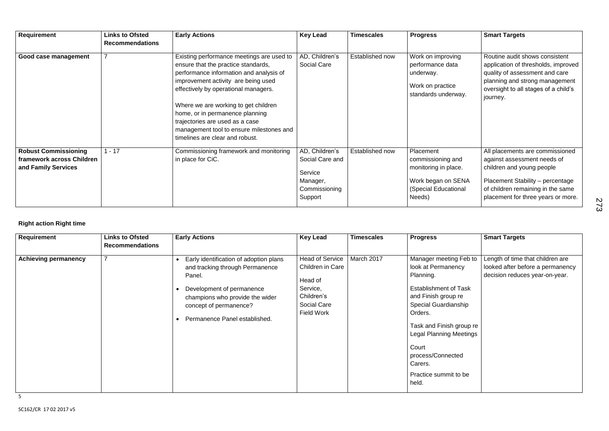| <b>Requirement</b>                                                              | <b>Links to Ofsted</b><br><b>Recommendations</b> | <b>Early Actions</b>                                                                                                                                                                                                                                                                                                                                                                                    | <b>Key Lead</b>                                                                      | <b>Timescales</b> | <b>Progress</b>                                                                                                | <b>Smart Targets</b>                                                                                                                                                                                       |
|---------------------------------------------------------------------------------|--------------------------------------------------|---------------------------------------------------------------------------------------------------------------------------------------------------------------------------------------------------------------------------------------------------------------------------------------------------------------------------------------------------------------------------------------------------------|--------------------------------------------------------------------------------------|-------------------|----------------------------------------------------------------------------------------------------------------|------------------------------------------------------------------------------------------------------------------------------------------------------------------------------------------------------------|
| Good case management                                                            |                                                  | Existing performance meetings are used to<br>ensure that the practice standards,<br>performance information and analysis of<br>improvement activity are being used<br>effectively by operational managers.<br>Where we are working to get children<br>home, or in permanence planning<br>trajectories are used as a case<br>management tool to ensure milestones and<br>timelines are clear and robust. | AD, Children's<br><b>Social Care</b>                                                 | Established now   | Work on improving<br>performance data<br>underway.<br>Work on practice<br>standards underway.                  | Routine audit shows consistent<br>application of thresholds, improved<br>quality of assessment and care<br>planning and strong management<br>oversight to all stages of a child's<br>journey.              |
| <b>Robust Commissioning</b><br>framework across Children<br>and Family Services | $1 - 17$                                         | Commissioning framework and monitoring<br>in place for CiC.                                                                                                                                                                                                                                                                                                                                             | AD, Children's<br>Social Care and<br>Service<br>Manager,<br>Commissioning<br>Support | Established now   | Placement<br>commissioning and<br>monitoring in place.<br>Work began on SENA<br>(Special Educational<br>Needs) | All placements are commissioned<br>against assessment needs of<br>children and young people<br>Placement Stability - percentage<br>of children remaining in the same<br>placement for three years or more. |

## **Right action Right time**

| Requirement                 | <b>Links to Ofsted</b><br><b>Recommendations</b> | <b>Early Actions</b>                                                                                                                                                                                           | <b>Key Lead</b>                                                                                                     | <b>Timescales</b> | <b>Progress</b>                                                                                                                                                                                                                                                                                     | <b>Smart Targets</b>                                                                                   |
|-----------------------------|--------------------------------------------------|----------------------------------------------------------------------------------------------------------------------------------------------------------------------------------------------------------------|---------------------------------------------------------------------------------------------------------------------|-------------------|-----------------------------------------------------------------------------------------------------------------------------------------------------------------------------------------------------------------------------------------------------------------------------------------------------|--------------------------------------------------------------------------------------------------------|
| <b>Achieving permanency</b> |                                                  | Early identification of adoption plans<br>and tracking through Permanence<br>Panel.<br>Development of permanence<br>champions who provide the wider<br>concept of permanence?<br>Permanence Panel established. | <b>Head of Service</b><br>Children in Care<br>Head of<br>Service,<br>Children's<br>Social Care<br><b>Field Work</b> | March 2017        | Manager meeting Feb to<br>look at Permanency<br>Planning.<br><b>Establishment of Task</b><br>and Finish group re<br><b>Special Guardianship</b><br>Orders.<br>Task and Finish group re<br><b>Legal Planning Meetings</b><br>Court<br>process/Connected<br>Carers.<br>Practice summit to be<br>held. | Length of time that children are<br>looked after before a permanency<br>decision reduces year-on-year. |

| re. | 273 |
|-----|-----|
|     |     |
|     |     |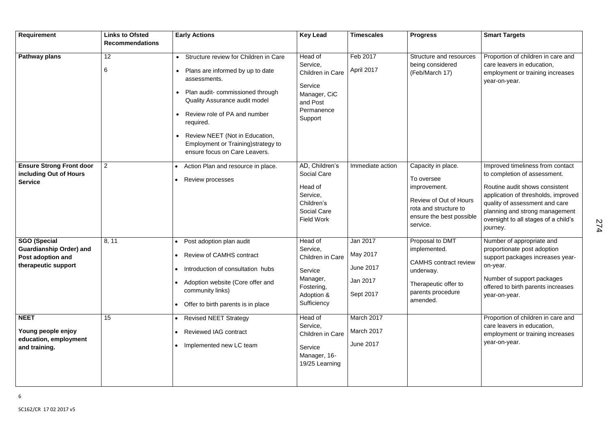| <b>Requirement</b>                                                                                | <b>Links to Ofsted</b> | <b>Early Actions</b>                                                                                                                                                                                                                                                                     | <b>Key Lead</b>                                                                                                            | <b>Timescales</b>                                     | <b>Progress</b>                                                                                                                             | <b>Smart Targets</b>                                                                                                                                                                                                                                              |
|---------------------------------------------------------------------------------------------------|------------------------|------------------------------------------------------------------------------------------------------------------------------------------------------------------------------------------------------------------------------------------------------------------------------------------|----------------------------------------------------------------------------------------------------------------------------|-------------------------------------------------------|---------------------------------------------------------------------------------------------------------------------------------------------|-------------------------------------------------------------------------------------------------------------------------------------------------------------------------------------------------------------------------------------------------------------------|
|                                                                                                   | <b>Recommendations</b> |                                                                                                                                                                                                                                                                                          |                                                                                                                            |                                                       |                                                                                                                                             |                                                                                                                                                                                                                                                                   |
| <b>Pathway plans</b>                                                                              | 12                     | Structure review for Children in Care                                                                                                                                                                                                                                                    | Head of                                                                                                                    | Feb 2017                                              | Structure and resources                                                                                                                     | Proportion of children in care and                                                                                                                                                                                                                                |
|                                                                                                   | 6                      | Plans are informed by up to date<br>assessments.<br>Plan audit-commissioned through<br>$\bullet$<br>Quality Assurance audit model<br>Review role of PA and number<br>required.<br>Review NEET (Not in Education,<br>Employment or Training) strategy to<br>ensure focus on Care Leavers. | Service,<br>Children in Care<br>Service<br>Manager, CiC<br>and Post<br>Permanence<br>Support                               | April 2017                                            | being considered<br>(Feb/March 17)                                                                                                          | care leavers in education,<br>employment or training increases<br>year-on-year.                                                                                                                                                                                   |
| <b>Ensure Strong Front door</b><br>including Out of Hours<br><b>Service</b>                       | $\overline{2}$         | Action Plan and resource in place.<br><b>Review processes</b>                                                                                                                                                                                                                            | AD, Children's<br><b>Social Care</b><br>Head of<br>Service,<br>Children's<br><b>Social Care</b><br><b>Field Work</b>       | Immediate action                                      | Capacity in place.<br>To oversee<br>improvement.<br>Review of Out of Hours<br>rota and structure to<br>ensure the best possible<br>service. | Improved timeliness from contact<br>to completion of assessment.<br>Routine audit shows consistent<br>application of thresholds, improved<br>quality of assessment and care<br>planning and strong management<br>oversight to all stages of a child's<br>journey. |
| <b>SGO (Special</b><br><b>Guardianship Order) and</b><br>Post adoption and<br>therapeutic support | 8, 11                  | Post adoption plan audit<br><b>Review of CAMHS contract</b><br>Introduction of consultation hubs<br>$\bullet$<br>Adoption website (Core offer and<br>community links)<br>Offer to birth parents is in place<br>$\bullet$                                                                 | Head of<br>Service,<br>Children in Care $\vert$ May 2017<br>Service<br>Manager,<br>Fostering,<br>Adoption &<br>Sufficiency | Jan 2017<br><b>June 2017</b><br>Jan 2017<br>Sept 2017 | Proposal to DMT<br>implemented.<br><b>CAMHS</b> contract review<br>underway.<br>Therapeutic offer to<br>parents procedure<br>amended.       | Number of appropriate and<br>proportionate post adoption<br>support packages increases year-<br>on-year.<br>Number of support packages<br>offered to birth parents increases<br>year-on-year.                                                                     |
| <b>NEET</b><br>Young people enjoy<br>education, employment<br>and training.                       | 15                     | <b>Revised NEET Strategy</b><br><b>Reviewed IAG contract</b><br>Implemented new LC team                                                                                                                                                                                                  | Head of<br>Service,<br>Children in Care<br>Service<br>Manager, 16-<br>19/25 Learning                                       | March 2017<br>March 2017<br><b>June 2017</b>          |                                                                                                                                             | Proportion of children in care and<br>care leavers in education,<br>employment or training increases<br>year-on-year.                                                                                                                                             |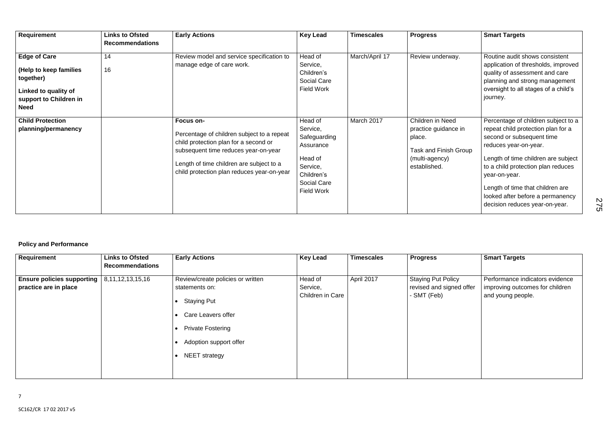| <b>Requirement</b>                                                                                                          | <b>Links to Ofsted</b><br><b>Recommendations</b> | <b>Early Actions</b>                                                                                                                                                                                                               | <b>Key Lead</b>                                                                                                           | <b>Timescales</b> | <b>Progress</b>                                                                                               | <b>Smart Targets</b>                                                                                                                                                                                                                                                                                                                    |
|-----------------------------------------------------------------------------------------------------------------------------|--------------------------------------------------|------------------------------------------------------------------------------------------------------------------------------------------------------------------------------------------------------------------------------------|---------------------------------------------------------------------------------------------------------------------------|-------------------|---------------------------------------------------------------------------------------------------------------|-----------------------------------------------------------------------------------------------------------------------------------------------------------------------------------------------------------------------------------------------------------------------------------------------------------------------------------------|
| <b>Edge of Care</b><br>(Help to keep families<br>together)<br>Linked to quality of<br>support to Children in<br><b>Need</b> | 14<br>16                                         | Review model and service specification to<br>manage edge of care work.                                                                                                                                                             | Head of<br>Service,<br>Children's<br><b>Social Care</b><br><b>Field Work</b>                                              | March/April 17    | Review underway.                                                                                              | Routine audit shows consistent<br>application of thresholds, improved<br>quality of assessment and care<br>planning and strong management<br>oversight to all stages of a child's<br>journey.                                                                                                                                           |
| <b>Child Protection</b><br>planning/permanency                                                                              |                                                  | Focus on-<br>Percentage of children subject to a repeat<br>child protection plan for a second or<br>subsequent time reduces year-on-year<br>Length of time children are subject to a<br>child protection plan reduces year-on-year | Head of<br>Service,<br>Safeguarding<br>Assurance<br>Head of<br>Service,<br>Children's<br>Social Care<br><b>Field Work</b> | March 2017        | Children in Need<br>practice guidance in<br>place.<br>Task and Finish Group<br>(multi-agency)<br>established. | Percentage of children subject to a<br>repeat child protection plan for a<br>second or subsequent time<br>reduces year-on-year.<br>Length of time children are subject<br>to a child protection plan reduces<br>year-on-year.<br>Length of time that children are<br>looked after before a permanency<br>decision reduces year-on-year. |

#### **Policy and Performance**

| <b>Requirement</b>                                           | <b>Links to Ofsted</b> | <b>Early Actions</b>                                                                                                                                                                       | <b>Key Lead</b>                         | <b>Timescales</b> | <b>Progress</b>                                                      | <b>Smart Targets</b>                                                                    |
|--------------------------------------------------------------|------------------------|--------------------------------------------------------------------------------------------------------------------------------------------------------------------------------------------|-----------------------------------------|-------------------|----------------------------------------------------------------------|-----------------------------------------------------------------------------------------|
|                                                              | <b>Recommendations</b> |                                                                                                                                                                                            |                                         |                   |                                                                      |                                                                                         |
| <b>Ensure policies supporting  </b><br>practice are in place | 8, 11, 12, 13, 15, 16  | Review/create policies or written<br>statements on:<br><b>Staying Put</b><br>$\bullet$<br>Care Leavers offer<br><b>Private Fostering</b><br>Adoption support offer<br><b>NEET</b> strategy | Head of<br>Service,<br>Children in Care | April 2017        | <b>Staying Put Policy</b><br>revised and signed offer<br>- SMT (Feb) | Performance indicators evidence<br>improving outcomes for children<br>and young people. |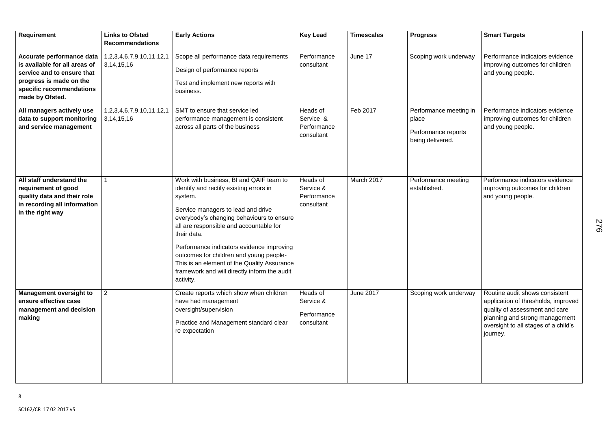| <b>Requirement</b>                                                                                                                                                 | <b>Links to Ofsted</b>                              | <b>Early Actions</b>                                                                                                                                                                                                                                                                                                                                                                                                                           | <b>Key Lead</b>                                    | <b>Timescales</b> | <b>Progress</b>                                                            | <b>Smart Targets</b>                                                                                                                                                                          |
|--------------------------------------------------------------------------------------------------------------------------------------------------------------------|-----------------------------------------------------|------------------------------------------------------------------------------------------------------------------------------------------------------------------------------------------------------------------------------------------------------------------------------------------------------------------------------------------------------------------------------------------------------------------------------------------------|----------------------------------------------------|-------------------|----------------------------------------------------------------------------|-----------------------------------------------------------------------------------------------------------------------------------------------------------------------------------------------|
|                                                                                                                                                                    | <b>Recommendations</b>                              |                                                                                                                                                                                                                                                                                                                                                                                                                                                |                                                    |                   |                                                                            |                                                                                                                                                                                               |
| Accurate performance data<br>is available for all areas of<br>service and to ensure that<br>progress is made on the<br>specific recommendations<br>made by Ofsted. | 1,2,3,4,6,7,9,10,11,12,1<br>3, 14, 15, 16           | Scope all performance data requirements<br>Design of performance reports<br>Test and implement new reports with<br>business.                                                                                                                                                                                                                                                                                                                   | Performance<br>consultant                          | June 17           | Scoping work underway                                                      | Performance indicators evidence<br>improving outcomes for children<br>and young people.                                                                                                       |
| All managers actively use<br>data to support monitoring<br>and service management                                                                                  | 1, 2, 3, 4, 6, 7, 9, 10, 11, 12, 1<br>3, 14, 15, 16 | SMT to ensure that service led<br>performance management is consistent<br>across all parts of the business                                                                                                                                                                                                                                                                                                                                     | Heads of<br>Service &<br>Performance<br>consultant | Feb 2017          | Performance meeting in<br>place<br>Performance reports<br>being delivered. | Performance indicators evidence<br>improving outcomes for children<br>and young people.                                                                                                       |
| All staff understand the<br>requirement of good<br>quality data and their role<br>in recording all information<br>in the right way                                 |                                                     | Work with business, BI and QAIF team to<br>identify and rectify existing errors in<br>system.<br>Service managers to lead and drive<br>everybody's changing behaviours to ensure<br>all are responsible and accountable for<br>their data.<br>Performance indicators evidence improving<br>outcomes for children and young people-<br>This is an element of the Quality Assurance<br>framework and will directly inform the audit<br>activity. | Heads of<br>Service &<br>Performance<br>consultant | March 2017        | Performance meeting<br>established.                                        | Performance indicators evidence<br>improving outcomes for children<br>and young people.                                                                                                       |
| <b>Management oversight to</b><br>ensure effective case<br>management and decision<br>making                                                                       | $\overline{2}$                                      | Create reports which show when children<br>have had management<br>oversight/supervision<br>Practice and Management standard clear<br>re expectation                                                                                                                                                                                                                                                                                            | Heads of<br>Service &<br>Performance<br>consultant | <b>June 2017</b>  | Scoping work underway                                                      | Routine audit shows consistent<br>application of thresholds, improved<br>quality of assessment and care<br>planning and strong management<br>oversight to all stages of a child's<br>journey. |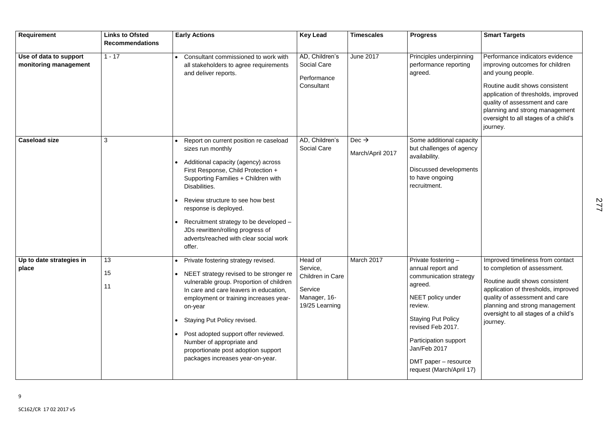| Requirement                                     | <b>Links to Ofsted</b><br><b>Recommendations</b> | <b>Early Actions</b>                                                                                                                                                                                                                                                                                                                                                                                                                 | <b>Key Lead</b>                                                                      | <b>Timescales</b>                     | <b>Progress</b>                                                                                                                                                                                                                                                  | <b>Smart Targets</b>                                                                                                                                                                                                                                                                     |
|-------------------------------------------------|--------------------------------------------------|--------------------------------------------------------------------------------------------------------------------------------------------------------------------------------------------------------------------------------------------------------------------------------------------------------------------------------------------------------------------------------------------------------------------------------------|--------------------------------------------------------------------------------------|---------------------------------------|------------------------------------------------------------------------------------------------------------------------------------------------------------------------------------------------------------------------------------------------------------------|------------------------------------------------------------------------------------------------------------------------------------------------------------------------------------------------------------------------------------------------------------------------------------------|
| Use of data to support<br>monitoring management | $1 - 17$                                         | Consultant commissioned to work with<br>all stakeholders to agree requirements<br>and deliver reports.                                                                                                                                                                                                                                                                                                                               | AD, Children's<br><b>Social Care</b><br>Performance<br>Consultant                    | <b>June 2017</b>                      | Principles underpinning<br>performance reporting<br>agreed.                                                                                                                                                                                                      | Performance indicators evidence<br>improving outcomes for children<br>and young people.<br>Routine audit shows consistent<br>application of thresholds, improved<br>quality of assessment and care<br>planning and strong management<br>oversight to all stages of a child's<br>journey. |
| <b>Caseload size</b>                            | 3                                                | Report on current position re caseload<br>sizes run monthly<br>Additional capacity (agency) across<br>First Response, Child Protection +<br>Supporting Families + Children with<br>Disabilities.<br>Review structure to see how best<br>response is deployed.<br>Recruitment strategy to be developed -<br>JDs rewritten/rolling progress of<br>adverts/reached with clear social work<br>offer.                                     | AD, Children's<br><b>Social Care</b>                                                 | Dec $\rightarrow$<br>March/April 2017 | Some additional capacity<br>but challenges of agency<br>availability.<br>Discussed developments<br>to have ongoing<br>recruitment.                                                                                                                               |                                                                                                                                                                                                                                                                                          |
| Up to date strategies in<br>place               | 13<br>15<br>11                                   | Private fostering strategy revised.<br>$\bullet$<br>• NEET strategy revised to be stronger re<br>vulnerable group. Proportion of children<br>In care and care leavers in education,<br>employment or training increases year-<br>on-year<br>Staying Put Policy revised.<br>Post adopted support offer reviewed.<br>$\bullet$<br>Number of appropriate and<br>proportionate post adoption support<br>packages increases year-on-year. | Head of<br>Service,<br>Children in Care<br>Service<br>Manager, 16-<br>19/25 Learning | March 2017                            | $Private$ fostering $-$<br>annual report and<br>communication strategy<br>agreed.<br>NEET policy under<br>review.<br><b>Staying Put Policy</b><br>revised Feb 2017.<br>Participation support<br>Jan/Feb 2017<br>DMT paper – resource<br>request (March/April 17) | Improved timeliness from contact<br>to completion of assessment.<br>Routine audit shows consistent<br>application of thresholds, improved<br>quality of assessment and care<br>planning and strong management<br>oversight to all stages of a child's<br>journey.                        |